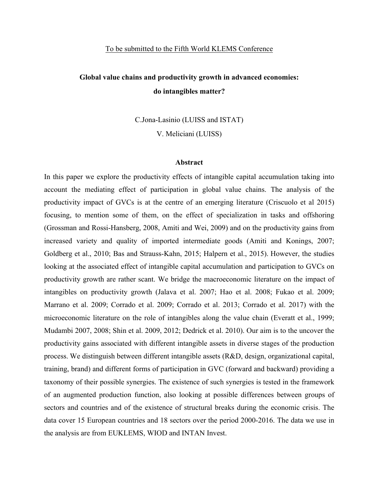## To be submitted to the Fifth World KLEMS Conference

## **Global value chains and productivity growth in advanced economies: do intangibles matter?**

C.Jona-Lasinio (LUISS and ISTAT)

V. Meliciani (LUISS)

## **Abstract**

In this paper we explore the productivity effects of intangible capital accumulation taking into account the mediating effect of participation in global value chains. The analysis of the productivity impact of GVCs is at the centre of an emerging literature (Criscuolo et al 2015) focusing, to mention some of them, on the effect of specialization in tasks and offshoring (Grossman and Rossi-Hansberg, 2008, Amiti and Wei, 2009) and on the productivity gains from increased variety and quality of imported intermediate goods (Amiti and Konings, 2007; Goldberg et al., 2010; Bas and Strauss-Kahn, 2015; Halpern et al., 2015). However, the studies looking at the associated effect of intangible capital accumulation and participation to GVCs on productivity growth are rather scant. We bridge the macroeconomic literature on the impact of intangibles on productivity growth (Jalava et al. 2007; Hao et al. 2008; Fukao et al. 2009; Marrano et al. 2009; Corrado et al. 2009; Corrado et al. 2013; Corrado et al. 2017) with the microeconomic literature on the role of intangibles along the value chain (Everatt et al., 1999; Mudambi 2007, 2008; Shin et al. 2009, 2012; Dedrick et al. 2010). Our aim is to the uncover the productivity gains associated with different intangible assets in diverse stages of the production process. We distinguish between different intangible assets (R&D, design, organizational capital, training, brand) and different forms of participation in GVC (forward and backward) providing a taxonomy of their possible synergies. The existence of such synergies is tested in the framework of an augmented production function, also looking at possible differences between groups of sectors and countries and of the existence of structural breaks during the economic crisis. The data cover 15 European countries and 18 sectors over the period 2000-2016. The data we use in the analysis are from EUKLEMS, WIOD and INTAN Invest.